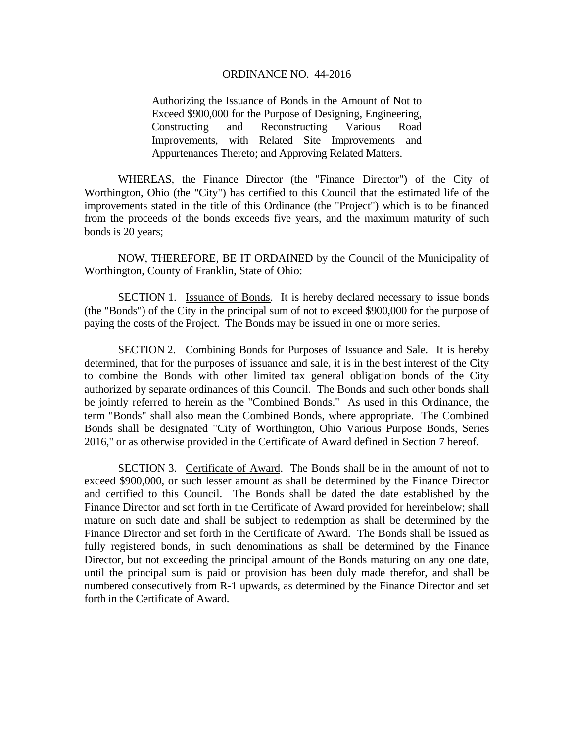Authorizing the Issuance of Bonds in the Amount of Not to Exceed \$900,000 for the Purpose of Designing, Engineering, Constructing and Reconstructing Various Road Improvements, with Related Site Improvements and Appurtenances Thereto; and Approving Related Matters.

 WHEREAS, the Finance Director (the "Finance Director") of the City of Worthington, Ohio (the "City") has certified to this Council that the estimated life of the improvements stated in the title of this Ordinance (the "Project") which is to be financed from the proceeds of the bonds exceeds five years, and the maximum maturity of such bonds is 20 years;

NOW, THEREFORE, BE IT ORDAINED by the Council of the Municipality of Worthington, County of Franklin, State of Ohio:

 SECTION 1. Issuance of Bonds. It is hereby declared necessary to issue bonds (the "Bonds") of the City in the principal sum of not to exceed \$900,000 for the purpose of paying the costs of the Project. The Bonds may be issued in one or more series.

 SECTION 2. Combining Bonds for Purposes of Issuance and Sale. It is hereby determined, that for the purposes of issuance and sale, it is in the best interest of the City to combine the Bonds with other limited tax general obligation bonds of the City authorized by separate ordinances of this Council. The Bonds and such other bonds shall be jointly referred to herein as the "Combined Bonds." As used in this Ordinance, the term "Bonds" shall also mean the Combined Bonds, where appropriate. The Combined Bonds shall be designated "City of Worthington, Ohio Various Purpose Bonds, Series 2016," or as otherwise provided in the Certificate of Award defined in Section 7 hereof.

 SECTION 3. Certificate of Award. The Bonds shall be in the amount of not to exceed \$900,000, or such lesser amount as shall be determined by the Finance Director and certified to this Council. The Bonds shall be dated the date established by the Finance Director and set forth in the Certificate of Award provided for hereinbelow; shall mature on such date and shall be subject to redemption as shall be determined by the Finance Director and set forth in the Certificate of Award. The Bonds shall be issued as fully registered bonds, in such denominations as shall be determined by the Finance Director, but not exceeding the principal amount of the Bonds maturing on any one date, until the principal sum is paid or provision has been duly made therefor, and shall be numbered consecutively from R-1 upwards, as determined by the Finance Director and set forth in the Certificate of Award.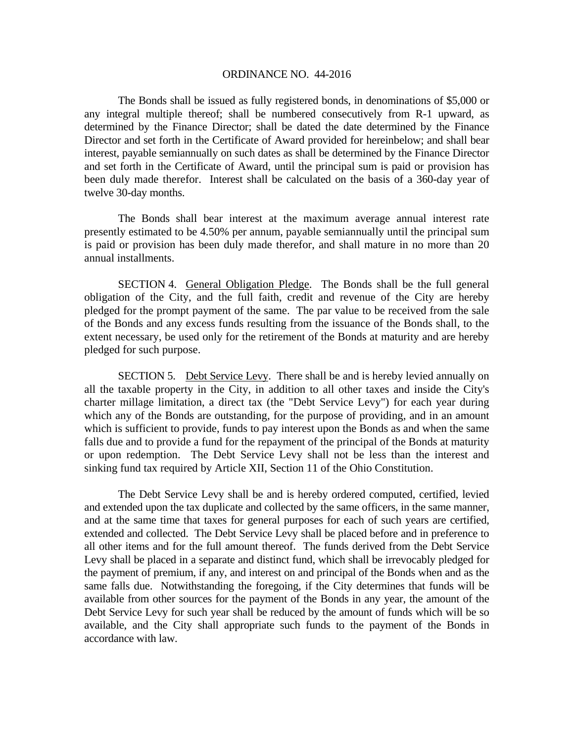The Bonds shall be issued as fully registered bonds, in denominations of \$5,000 or any integral multiple thereof; shall be numbered consecutively from R-1 upward, as determined by the Finance Director; shall be dated the date determined by the Finance Director and set forth in the Certificate of Award provided for hereinbelow; and shall bear interest, payable semiannually on such dates as shall be determined by the Finance Director and set forth in the Certificate of Award, until the principal sum is paid or provision has been duly made therefor. Interest shall be calculated on the basis of a 360-day year of twelve 30-day months.

The Bonds shall bear interest at the maximum average annual interest rate presently estimated to be 4.50% per annum, payable semiannually until the principal sum is paid or provision has been duly made therefor, and shall mature in no more than 20 annual installments.

 SECTION 4. General Obligation Pledge. The Bonds shall be the full general obligation of the City, and the full faith, credit and revenue of the City are hereby pledged for the prompt payment of the same. The par value to be received from the sale of the Bonds and any excess funds resulting from the issuance of the Bonds shall, to the extent necessary, be used only for the retirement of the Bonds at maturity and are hereby pledged for such purpose.

SECTION 5. Debt Service Levy. There shall be and is hereby levied annually on all the taxable property in the City, in addition to all other taxes and inside the City's charter millage limitation, a direct tax (the "Debt Service Levy") for each year during which any of the Bonds are outstanding, for the purpose of providing, and in an amount which is sufficient to provide, funds to pay interest upon the Bonds as and when the same falls due and to provide a fund for the repayment of the principal of the Bonds at maturity or upon redemption. The Debt Service Levy shall not be less than the interest and sinking fund tax required by Article XII, Section 11 of the Ohio Constitution.

The Debt Service Levy shall be and is hereby ordered computed, certified, levied and extended upon the tax duplicate and collected by the same officers, in the same manner, and at the same time that taxes for general purposes for each of such years are certified, extended and collected. The Debt Service Levy shall be placed before and in preference to all other items and for the full amount thereof. The funds derived from the Debt Service Levy shall be placed in a separate and distinct fund, which shall be irrevocably pledged for the payment of premium, if any, and interest on and principal of the Bonds when and as the same falls due. Notwithstanding the foregoing, if the City determines that funds will be available from other sources for the payment of the Bonds in any year, the amount of the Debt Service Levy for such year shall be reduced by the amount of funds which will be so available, and the City shall appropriate such funds to the payment of the Bonds in accordance with law.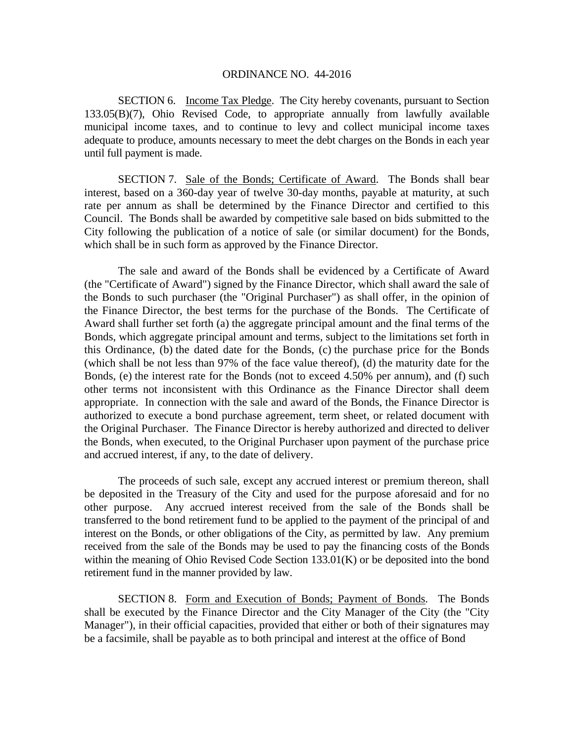SECTION 6. Income Tax Pledge. The City hereby covenants, pursuant to Section 133.05(B)(7), Ohio Revised Code, to appropriate annually from lawfully available municipal income taxes, and to continue to levy and collect municipal income taxes adequate to produce, amounts necessary to meet the debt charges on the Bonds in each year until full payment is made.

 SECTION 7. Sale of the Bonds; Certificate of Award. The Bonds shall bear interest, based on a 360-day year of twelve 30-day months, payable at maturity, at such rate per annum as shall be determined by the Finance Director and certified to this Council. The Bonds shall be awarded by competitive sale based on bids submitted to the City following the publication of a notice of sale (or similar document) for the Bonds, which shall be in such form as approved by the Finance Director.

The sale and award of the Bonds shall be evidenced by a Certificate of Award (the "Certificate of Award") signed by the Finance Director, which shall award the sale of the Bonds to such purchaser (the "Original Purchaser") as shall offer, in the opinion of the Finance Director, the best terms for the purchase of the Bonds. The Certificate of Award shall further set forth (a) the aggregate principal amount and the final terms of the Bonds, which aggregate principal amount and terms, subject to the limitations set forth in this Ordinance, (b) the dated date for the Bonds, (c) the purchase price for the Bonds (which shall be not less than 97% of the face value thereof), (d) the maturity date for the Bonds, (e) the interest rate for the Bonds (not to exceed 4.50% per annum), and (f) such other terms not inconsistent with this Ordinance as the Finance Director shall deem appropriate. In connection with the sale and award of the Bonds, the Finance Director is authorized to execute a bond purchase agreement, term sheet, or related document with the Original Purchaser. The Finance Director is hereby authorized and directed to deliver the Bonds, when executed, to the Original Purchaser upon payment of the purchase price and accrued interest, if any, to the date of delivery.

The proceeds of such sale, except any accrued interest or premium thereon, shall be deposited in the Treasury of the City and used for the purpose aforesaid and for no other purpose. Any accrued interest received from the sale of the Bonds shall be transferred to the bond retirement fund to be applied to the payment of the principal of and interest on the Bonds, or other obligations of the City, as permitted by law. Any premium received from the sale of the Bonds may be used to pay the financing costs of the Bonds within the meaning of Ohio Revised Code Section 133.01(K) or be deposited into the bond retirement fund in the manner provided by law.

 SECTION 8. Form and Execution of Bonds; Payment of Bonds. The Bonds shall be executed by the Finance Director and the City Manager of the City (the "City Manager"), in their official capacities, provided that either or both of their signatures may be a facsimile, shall be payable as to both principal and interest at the office of Bond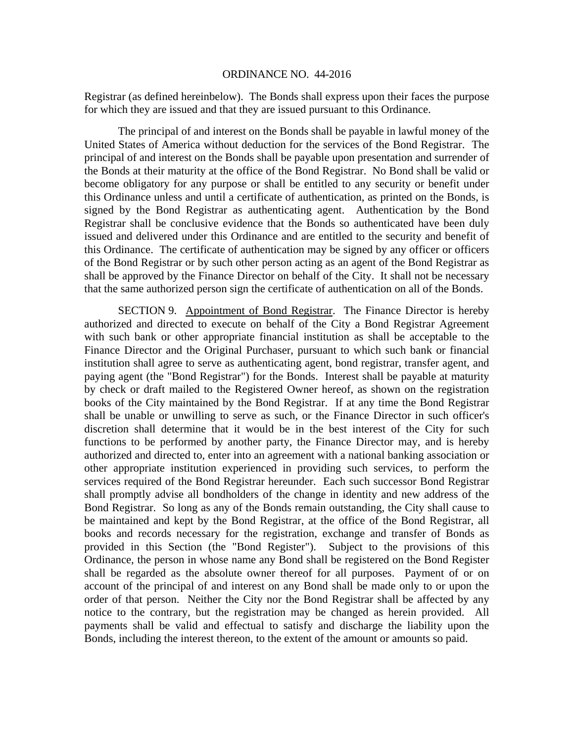Registrar (as defined hereinbelow). The Bonds shall express upon their faces the purpose for which they are issued and that they are issued pursuant to this Ordinance.

The principal of and interest on the Bonds shall be payable in lawful money of the United States of America without deduction for the services of the Bond Registrar. The principal of and interest on the Bonds shall be payable upon presentation and surrender of the Bonds at their maturity at the office of the Bond Registrar. No Bond shall be valid or become obligatory for any purpose or shall be entitled to any security or benefit under this Ordinance unless and until a certificate of authentication, as printed on the Bonds, is signed by the Bond Registrar as authenticating agent. Authentication by the Bond Registrar shall be conclusive evidence that the Bonds so authenticated have been duly issued and delivered under this Ordinance and are entitled to the security and benefit of this Ordinance. The certificate of authentication may be signed by any officer or officers of the Bond Registrar or by such other person acting as an agent of the Bond Registrar as shall be approved by the Finance Director on behalf of the City. It shall not be necessary that the same authorized person sign the certificate of authentication on all of the Bonds.

 SECTION 9. Appointment of Bond Registrar. The Finance Director is hereby authorized and directed to execute on behalf of the City a Bond Registrar Agreement with such bank or other appropriate financial institution as shall be acceptable to the Finance Director and the Original Purchaser, pursuant to which such bank or financial institution shall agree to serve as authenticating agent, bond registrar, transfer agent, and paying agent (the "Bond Registrar") for the Bonds. Interest shall be payable at maturity by check or draft mailed to the Registered Owner hereof, as shown on the registration books of the City maintained by the Bond Registrar. If at any time the Bond Registrar shall be unable or unwilling to serve as such, or the Finance Director in such officer's discretion shall determine that it would be in the best interest of the City for such functions to be performed by another party, the Finance Director may, and is hereby authorized and directed to, enter into an agreement with a national banking association or other appropriate institution experienced in providing such services, to perform the services required of the Bond Registrar hereunder. Each such successor Bond Registrar shall promptly advise all bondholders of the change in identity and new address of the Bond Registrar. So long as any of the Bonds remain outstanding, the City shall cause to be maintained and kept by the Bond Registrar, at the office of the Bond Registrar, all books and records necessary for the registration, exchange and transfer of Bonds as provided in this Section (the "Bond Register"). Subject to the provisions of this Ordinance, the person in whose name any Bond shall be registered on the Bond Register shall be regarded as the absolute owner thereof for all purposes. Payment of or on account of the principal of and interest on any Bond shall be made only to or upon the order of that person. Neither the City nor the Bond Registrar shall be affected by any notice to the contrary, but the registration may be changed as herein provided. All payments shall be valid and effectual to satisfy and discharge the liability upon the Bonds, including the interest thereon, to the extent of the amount or amounts so paid.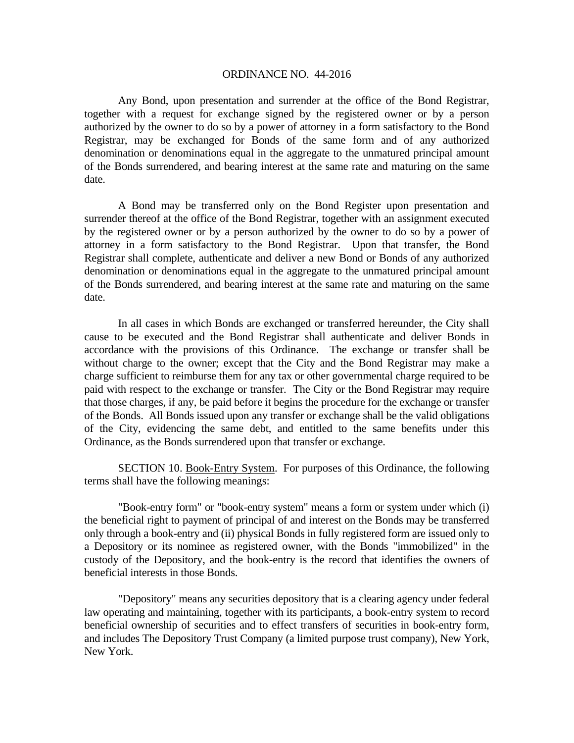Any Bond, upon presentation and surrender at the office of the Bond Registrar, together with a request for exchange signed by the registered owner or by a person authorized by the owner to do so by a power of attorney in a form satisfactory to the Bond Registrar, may be exchanged for Bonds of the same form and of any authorized denomination or denominations equal in the aggregate to the unmatured principal amount of the Bonds surrendered, and bearing interest at the same rate and maturing on the same date.

 A Bond may be transferred only on the Bond Register upon presentation and surrender thereof at the office of the Bond Registrar, together with an assignment executed by the registered owner or by a person authorized by the owner to do so by a power of attorney in a form satisfactory to the Bond Registrar. Upon that transfer, the Bond Registrar shall complete, authenticate and deliver a new Bond or Bonds of any authorized denomination or denominations equal in the aggregate to the unmatured principal amount of the Bonds surrendered, and bearing interest at the same rate and maturing on the same date.

In all cases in which Bonds are exchanged or transferred hereunder, the City shall cause to be executed and the Bond Registrar shall authenticate and deliver Bonds in accordance with the provisions of this Ordinance. The exchange or transfer shall be without charge to the owner; except that the City and the Bond Registrar may make a charge sufficient to reimburse them for any tax or other governmental charge required to be paid with respect to the exchange or transfer. The City or the Bond Registrar may require that those charges, if any, be paid before it begins the procedure for the exchange or transfer of the Bonds. All Bonds issued upon any transfer or exchange shall be the valid obligations of the City, evidencing the same debt, and entitled to the same benefits under this Ordinance, as the Bonds surrendered upon that transfer or exchange.

 SECTION 10. Book-Entry System. For purposes of this Ordinance, the following terms shall have the following meanings:

 "Book-entry form" or "book-entry system" means a form or system under which (i) the beneficial right to payment of principal of and interest on the Bonds may be transferred only through a book-entry and (ii) physical Bonds in fully registered form are issued only to a Depository or its nominee as registered owner, with the Bonds "immobilized" in the custody of the Depository, and the book-entry is the record that identifies the owners of beneficial interests in those Bonds.

 "Depository" means any securities depository that is a clearing agency under federal law operating and maintaining, together with its participants, a book-entry system to record beneficial ownership of securities and to effect transfers of securities in book-entry form, and includes The Depository Trust Company (a limited purpose trust company), New York, New York.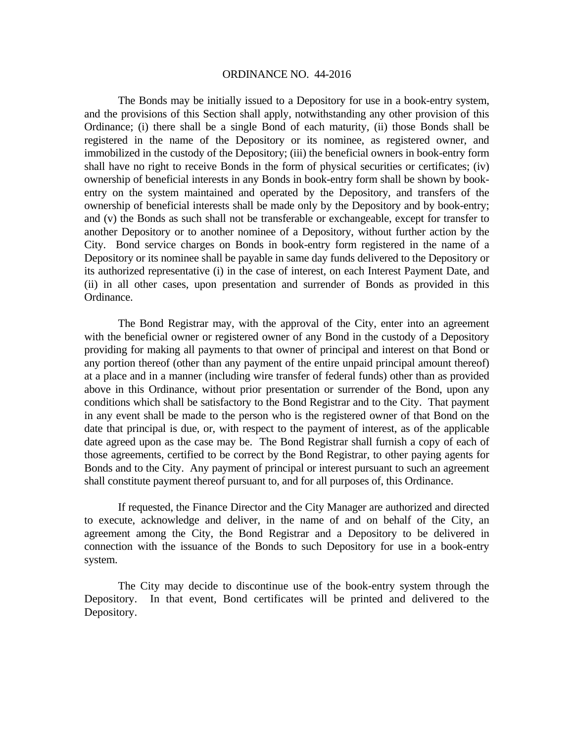The Bonds may be initially issued to a Depository for use in a book-entry system, and the provisions of this Section shall apply, notwithstanding any other provision of this Ordinance; (i) there shall be a single Bond of each maturity, (ii) those Bonds shall be registered in the name of the Depository or its nominee, as registered owner, and immobilized in the custody of the Depository; (iii) the beneficial owners in book-entry form shall have no right to receive Bonds in the form of physical securities or certificates; (iv) ownership of beneficial interests in any Bonds in book-entry form shall be shown by bookentry on the system maintained and operated by the Depository, and transfers of the ownership of beneficial interests shall be made only by the Depository and by book-entry; and (v) the Bonds as such shall not be transferable or exchangeable, except for transfer to another Depository or to another nominee of a Depository, without further action by the City. Bond service charges on Bonds in book-entry form registered in the name of a Depository or its nominee shall be payable in same day funds delivered to the Depository or its authorized representative (i) in the case of interest, on each Interest Payment Date, and (ii) in all other cases, upon presentation and surrender of Bonds as provided in this Ordinance.

 The Bond Registrar may, with the approval of the City, enter into an agreement with the beneficial owner or registered owner of any Bond in the custody of a Depository providing for making all payments to that owner of principal and interest on that Bond or any portion thereof (other than any payment of the entire unpaid principal amount thereof) at a place and in a manner (including wire transfer of federal funds) other than as provided above in this Ordinance, without prior presentation or surrender of the Bond, upon any conditions which shall be satisfactory to the Bond Registrar and to the City. That payment in any event shall be made to the person who is the registered owner of that Bond on the date that principal is due, or, with respect to the payment of interest, as of the applicable date agreed upon as the case may be. The Bond Registrar shall furnish a copy of each of those agreements, certified to be correct by the Bond Registrar, to other paying agents for Bonds and to the City. Any payment of principal or interest pursuant to such an agreement shall constitute payment thereof pursuant to, and for all purposes of, this Ordinance.

 If requested, the Finance Director and the City Manager are authorized and directed to execute, acknowledge and deliver, in the name of and on behalf of the City, an agreement among the City, the Bond Registrar and a Depository to be delivered in connection with the issuance of the Bonds to such Depository for use in a book-entry system.

The City may decide to discontinue use of the book-entry system through the Depository. In that event, Bond certificates will be printed and delivered to the Depository.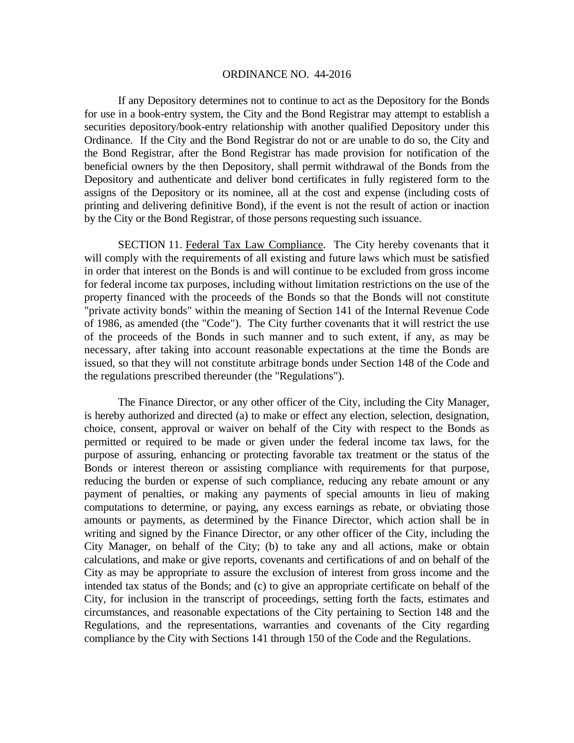If any Depository determines not to continue to act as the Depository for the Bonds for use in a book-entry system, the City and the Bond Registrar may attempt to establish a securities depository/book-entry relationship with another qualified Depository under this Ordinance. If the City and the Bond Registrar do not or are unable to do so, the City and the Bond Registrar, after the Bond Registrar has made provision for notification of the beneficial owners by the then Depository, shall permit withdrawal of the Bonds from the Depository and authenticate and deliver bond certificates in fully registered form to the assigns of the Depository or its nominee, all at the cost and expense (including costs of printing and delivering definitive Bond), if the event is not the result of action or inaction by the City or the Bond Registrar, of those persons requesting such issuance.

 SECTION 11. Federal Tax Law Compliance. The City hereby covenants that it will comply with the requirements of all existing and future laws which must be satisfied in order that interest on the Bonds is and will continue to be excluded from gross income for federal income tax purposes, including without limitation restrictions on the use of the property financed with the proceeds of the Bonds so that the Bonds will not constitute "private activity bonds" within the meaning of Section 141 of the Internal Revenue Code of 1986, as amended (the "Code"). The City further covenants that it will restrict the use of the proceeds of the Bonds in such manner and to such extent, if any, as may be necessary, after taking into account reasonable expectations at the time the Bonds are issued, so that they will not constitute arbitrage bonds under Section 148 of the Code and the regulations prescribed thereunder (the "Regulations").

The Finance Director, or any other officer of the City, including the City Manager, is hereby authorized and directed (a) to make or effect any election, selection, designation, choice, consent, approval or waiver on behalf of the City with respect to the Bonds as permitted or required to be made or given under the federal income tax laws, for the purpose of assuring, enhancing or protecting favorable tax treatment or the status of the Bonds or interest thereon or assisting compliance with requirements for that purpose, reducing the burden or expense of such compliance, reducing any rebate amount or any payment of penalties, or making any payments of special amounts in lieu of making computations to determine, or paying, any excess earnings as rebate, or obviating those amounts or payments, as determined by the Finance Director, which action shall be in writing and signed by the Finance Director, or any other officer of the City, including the City Manager, on behalf of the City; (b) to take any and all actions, make or obtain calculations, and make or give reports, covenants and certifications of and on behalf of the City as may be appropriate to assure the exclusion of interest from gross income and the intended tax status of the Bonds; and (c) to give an appropriate certificate on behalf of the City, for inclusion in the transcript of proceedings, setting forth the facts, estimates and circumstances, and reasonable expectations of the City pertaining to Section 148 and the Regulations, and the representations, warranties and covenants of the City regarding compliance by the City with Sections 141 through 150 of the Code and the Regulations.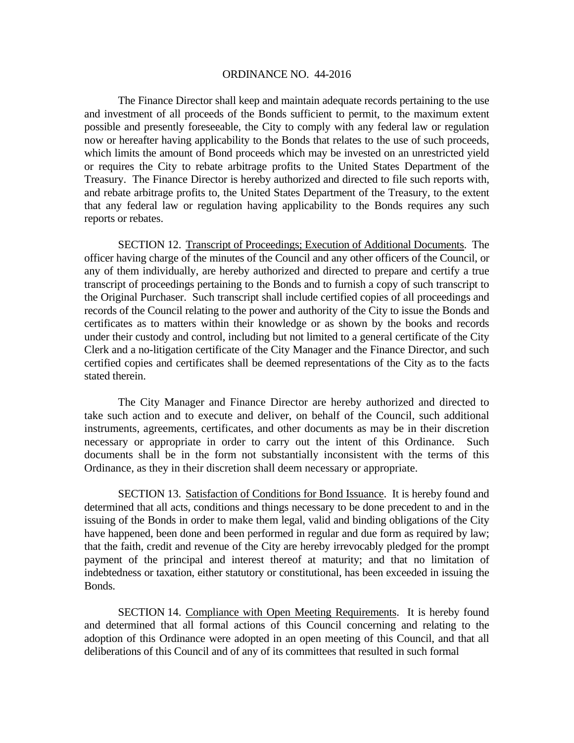The Finance Director shall keep and maintain adequate records pertaining to the use and investment of all proceeds of the Bonds sufficient to permit, to the maximum extent possible and presently foreseeable, the City to comply with any federal law or regulation now or hereafter having applicability to the Bonds that relates to the use of such proceeds, which limits the amount of Bond proceeds which may be invested on an unrestricted yield or requires the City to rebate arbitrage profits to the United States Department of the Treasury. The Finance Director is hereby authorized and directed to file such reports with, and rebate arbitrage profits to, the United States Department of the Treasury, to the extent that any federal law or regulation having applicability to the Bonds requires any such reports or rebates.

 SECTION 12. Transcript of Proceedings; Execution of Additional Documents. The officer having charge of the minutes of the Council and any other officers of the Council, or any of them individually, are hereby authorized and directed to prepare and certify a true transcript of proceedings pertaining to the Bonds and to furnish a copy of such transcript to the Original Purchaser. Such transcript shall include certified copies of all proceedings and records of the Council relating to the power and authority of the City to issue the Bonds and certificates as to matters within their knowledge or as shown by the books and records under their custody and control, including but not limited to a general certificate of the City Clerk and a no-litigation certificate of the City Manager and the Finance Director, and such certified copies and certificates shall be deemed representations of the City as to the facts stated therein.

The City Manager and Finance Director are hereby authorized and directed to take such action and to execute and deliver, on behalf of the Council, such additional instruments, agreements, certificates, and other documents as may be in their discretion necessary or appropriate in order to carry out the intent of this Ordinance. Such documents shall be in the form not substantially inconsistent with the terms of this Ordinance, as they in their discretion shall deem necessary or appropriate.

SECTION 13. Satisfaction of Conditions for Bond Issuance. It is hereby found and determined that all acts, conditions and things necessary to be done precedent to and in the issuing of the Bonds in order to make them legal, valid and binding obligations of the City have happened, been done and been performed in regular and due form as required by law; that the faith, credit and revenue of the City are hereby irrevocably pledged for the prompt payment of the principal and interest thereof at maturity; and that no limitation of indebtedness or taxation, either statutory or constitutional, has been exceeded in issuing the Bonds.

SECTION 14. Compliance with Open Meeting Requirements. It is hereby found and determined that all formal actions of this Council concerning and relating to the adoption of this Ordinance were adopted in an open meeting of this Council, and that all deliberations of this Council and of any of its committees that resulted in such formal